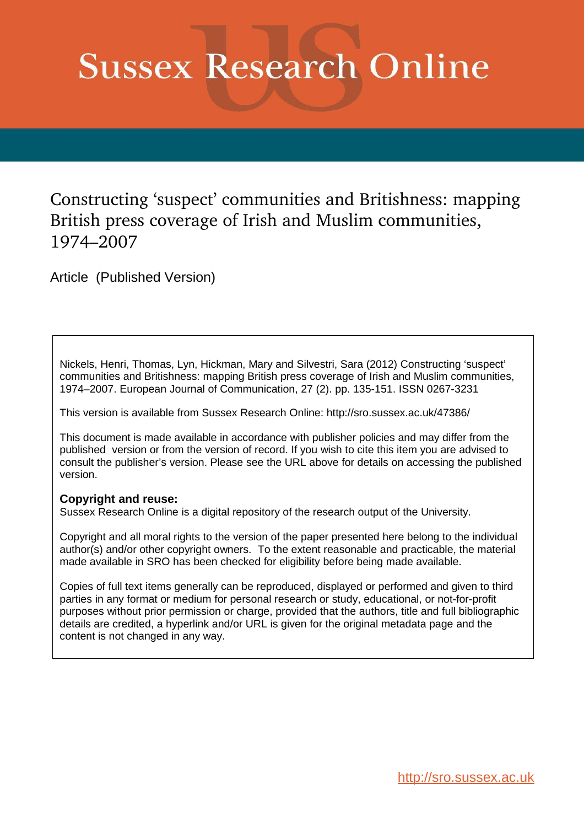# **Sussex Research Online**

# Constructing 'suspect' communities and Britishness: mapping British press coverage of Irish and Muslim communities, 1974–2007

Article (Published Version)

Nickels, Henri, Thomas, Lyn, Hickman, Mary and Silvestri, Sara (2012) Constructing 'suspect' communities and Britishness: mapping British press coverage of Irish and Muslim communities, 1974–2007. European Journal of Communication, 27 (2). pp. 135-151. ISSN 0267-3231

This version is available from Sussex Research Online: http://sro.sussex.ac.uk/47386/

This document is made available in accordance with publisher policies and may differ from the published version or from the version of record. If you wish to cite this item you are advised to consult the publisher's version. Please see the URL above for details on accessing the published version.

# **Copyright and reuse:**

Sussex Research Online is a digital repository of the research output of the University.

Copyright and all moral rights to the version of the paper presented here belong to the individual author(s) and/or other copyright owners. To the extent reasonable and practicable, the material made available in SRO has been checked for eligibility before being made available.

Copies of full text items generally can be reproduced, displayed or performed and given to third parties in any format or medium for personal research or study, educational, or not-for-profit purposes without prior permission or charge, provided that the authors, title and full bibliographic details are credited, a hyperlink and/or URL is given for the original metadata page and the content is not changed in any way.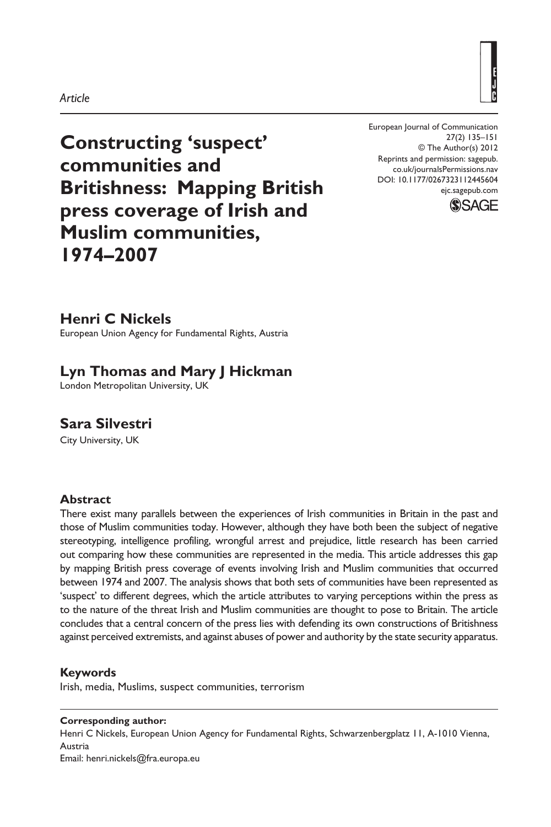#### *Article*

European Journal of Communication 27(2) 135 –151 © The Author(s) 2012 Reprints and permission: sagepub. co.uk/journalsPermissions.nav DOI: 10.1177/0267323112445604 ejc.sagepub.com



**Constructing 'suspect' communities and Britishness: Mapping British press coverage of Irish and Muslim communities, 1974–2007**

**Henri C Nickels**

European Union Agency for Fundamental Rights, Austria

# **Lyn Thomas and Mary J Hickman**

London Metropolitan University, UK

# **Sara Silvestri**

City University, UK

#### **Abstract**

There exist many parallels between the experiences of Irish communities in Britain in the past and those of Muslim communities today. However, although they have both been the subject of negative stereotyping, intelligence profiling, wrongful arrest and prejudice, little research has been carried out comparing how these communities are represented in the media. This article addresses this gap by mapping British press coverage of events involving Irish and Muslim communities that occurred between 1974 and 2007. The analysis shows that both sets of communities have been represented as 'suspect' to different degrees, which the article attributes to varying perceptions within the press as to the nature of the threat Irish and Muslim communities are thought to pose to Britain. The article concludes that a central concern of the press lies with defending its own constructions of Britishness against perceived extremists, and against abuses of power and authority by the state security apparatus.

#### **Keywords**

Irish, media, Muslims, suspect communities, terrorism

**Corresponding author:** Henri C Nickels, European Union Agency for Fundamental Rights, Schwarzenbergplatz 11, A-1010 Vienna, Austria Email: henri.nickels@fra.europa.eu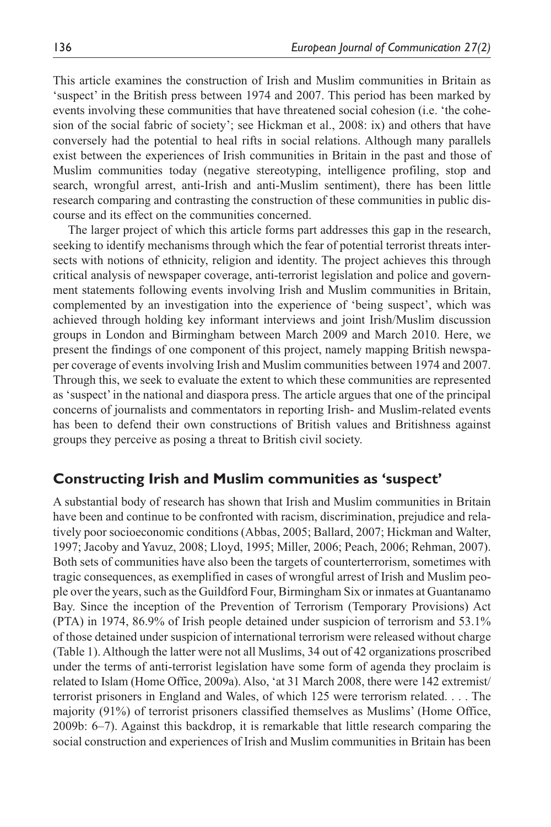This article examines the construction of Irish and Muslim communities in Britain as 'suspect' in the British press between 1974 and 2007. This period has been marked by events involving these communities that have threatened social cohesion (i.e. 'the cohesion of the social fabric of society'; see Hickman et al., 2008: ix) and others that have conversely had the potential to heal rifts in social relations. Although many parallels exist between the experiences of Irish communities in Britain in the past and those of Muslim communities today (negative stereotyping, intelligence profiling, stop and search, wrongful arrest, anti-Irish and anti-Muslim sentiment), there has been little research comparing and contrasting the construction of these communities in public discourse and its effect on the communities concerned.

The larger project of which this article forms part addresses this gap in the research, seeking to identify mechanisms through which the fear of potential terrorist threats intersects with notions of ethnicity, religion and identity. The project achieves this through critical analysis of newspaper coverage, anti-terrorist legislation and police and government statements following events involving Irish and Muslim communities in Britain, complemented by an investigation into the experience of 'being suspect', which was achieved through holding key informant interviews and joint Irish/Muslim discussion groups in London and Birmingham between March 2009 and March 2010. Here, we present the findings of one component of this project, namely mapping British newspaper coverage of events involving Irish and Muslim communities between 1974 and 2007. Through this, we seek to evaluate the extent to which these communities are represented as 'suspect' in the national and diaspora press. The article argues that one of the principal concerns of journalists and commentators in reporting Irish- and Muslim-related events has been to defend their own constructions of British values and Britishness against groups they perceive as posing a threat to British civil society.

## **Constructing Irish and Muslim communities as 'suspect'**

A substantial body of research has shown that Irish and Muslim communities in Britain have been and continue to be confronted with racism, discrimination, prejudice and relatively poor socioeconomic conditions (Abbas, 2005; Ballard, 2007; Hickman and Walter, 1997; Jacoby and Yavuz, 2008; Lloyd, 1995; Miller, 2006; Peach, 2006; Rehman, 2007). Both sets of communities have also been the targets of counterterrorism, sometimes with tragic consequences, as exemplified in cases of wrongful arrest of Irish and Muslim people over the years, such as the Guildford Four, Birmingham Six or inmates at Guantanamo Bay. Since the inception of the Prevention of Terrorism (Temporary Provisions) Act (PTA) in 1974, 86.9% of Irish people detained under suspicion of terrorism and 53.1% of those detained under suspicion of international terrorism were released without charge (Table 1). Although the latter were not all Muslims, 34 out of 42 organizations proscribed under the terms of anti-terrorist legislation have some form of agenda they proclaim is related to Islam (Home Office, 2009a). Also, 'at 31 March 2008, there were 142 extremist/ terrorist prisoners in England and Wales, of which 125 were terrorism related. . . . The majority (91%) of terrorist prisoners classified themselves as Muslims' (Home Office, 2009b: 6–7). Against this backdrop, it is remarkable that little research comparing the social construction and experiences of Irish and Muslim communities in Britain has been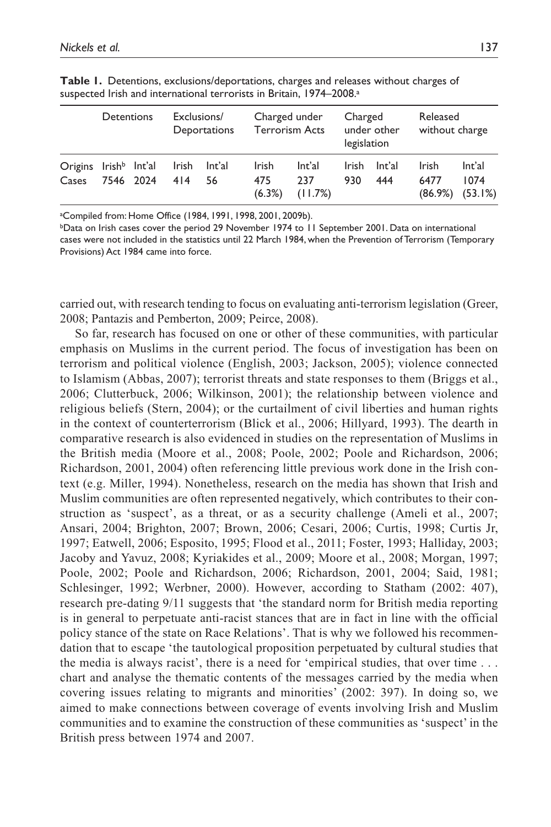|                                   | <b>Detentions</b> |  | Exclusions/<br>Deportations |     | Charged under<br><b>Terrorism Acts</b> |                          | Charged<br>under other<br>legislation |                     | Released<br>without charge |                           |
|-----------------------------------|-------------------|--|-----------------------------|-----|----------------------------------------|--------------------------|---------------------------------------|---------------------|----------------------------|---------------------------|
| Origins $Irish^b$ Int'al<br>Cases | 7546 2024         |  | lrish Int'al<br>414         | -56 | <b>Irish</b><br>475<br>(6.3%)          | Int'al<br>237<br>(11.7%) | 930                                   | Irish Int'al<br>444 | Irish<br>6477<br>(86.9%)   | Int'al<br>1074<br>(53.1%) |

**Table 1.** Detentions, exclusions/deportations, charges and releases without charges of suspected Irish and international terrorists in Britain, 1974–2008.<sup>a</sup>

<sup>a</sup>Compiled from: Home Office (1984, 1991, 1998, 2001, 2009b).

<sup>b</sup>Data on Irish cases cover the period 29 November 1974 to 11 September 2001. Data on international cases were not included in the statistics until 22 March 1984, when the Prevention of Terrorism (Temporary Provisions) Act 1984 came into force.

carried out, with research tending to focus on evaluating anti-terrorism legislation (Greer, 2008; Pantazis and Pemberton, 2009; Peirce, 2008).

So far, research has focused on one or other of these communities, with particular emphasis on Muslims in the current period. The focus of investigation has been on terrorism and political violence (English, 2003; Jackson, 2005); violence connected to Islamism (Abbas, 2007); terrorist threats and state responses to them (Briggs et al., 2006; Clutterbuck, 2006; Wilkinson, 2001); the relationship between violence and religious beliefs (Stern, 2004); or the curtailment of civil liberties and human rights in the context of counterterrorism (Blick et al., 2006; Hillyard, 1993). The dearth in comparative research is also evidenced in studies on the representation of Muslims in the British media (Moore et al., 2008; Poole, 2002; Poole and Richardson, 2006; Richardson, 2001, 2004) often referencing little previous work done in the Irish context (e.g. Miller, 1994). Nonetheless, research on the media has shown that Irish and Muslim communities are often represented negatively, which contributes to their construction as 'suspect', as a threat, or as a security challenge (Ameli et al., 2007; Ansari, 2004; Brighton, 2007; Brown, 2006; Cesari, 2006; Curtis, 1998; Curtis Jr, 1997; Eatwell, 2006; Esposito, 1995; Flood et al., 2011; Foster, 1993; Halliday, 2003; Jacoby and Yavuz, 2008; Kyriakides et al., 2009; Moore et al., 2008; Morgan, 1997; Poole, 2002; Poole and Richardson, 2006; Richardson, 2001, 2004; Said, 1981; Schlesinger, 1992; Werbner, 2000). However, according to Statham (2002: 407), research pre-dating 9/11 suggests that 'the standard norm for British media reporting is in general to perpetuate anti-racist stances that are in fact in line with the official policy stance of the state on Race Relations'. That is why we followed his recommendation that to escape 'the tautological proposition perpetuated by cultural studies that the media is always racist', there is a need for 'empirical studies, that over time . . . chart and analyse the thematic contents of the messages carried by the media when covering issues relating to migrants and minorities' (2002: 397). In doing so, we aimed to make connections between coverage of events involving Irish and Muslim communities and to examine the construction of these communities as 'suspect' in the British press between 1974 and 2007.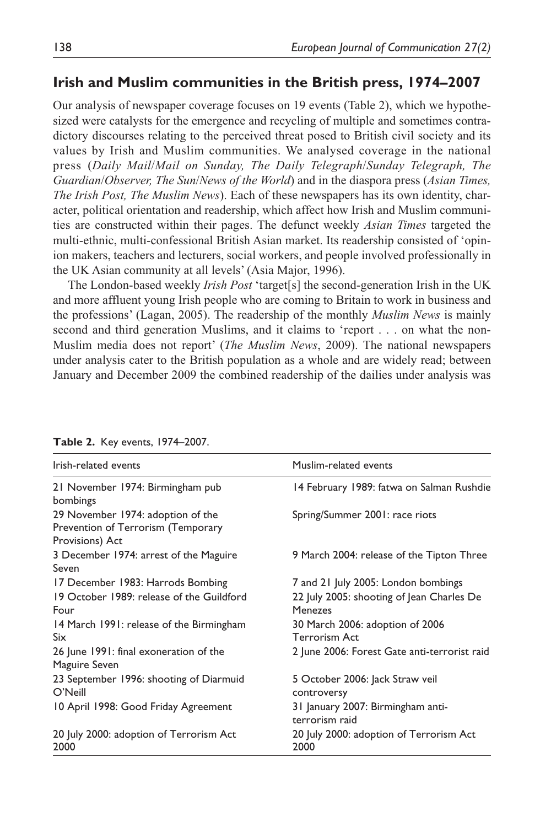### **Irish and Muslim communities in the British press, 1974–2007**

Our analysis of newspaper coverage focuses on 19 events (Table 2), which we hypothesized were catalysts for the emergence and recycling of multiple and sometimes contradictory discourses relating to the perceived threat posed to British civil society and its values by Irish and Muslim communities. We analysed coverage in the national press (*Daily Mail*/*Mail on Sunday, The Daily Telegraph*/*Sunday Telegraph, The Guardian*/*Observer, The Sun*/*News of the World*) and in the diaspora press (*Asian Times, The Irish Post, The Muslim News*). Each of these newspapers has its own identity, character, political orientation and readership, which affect how Irish and Muslim communities are constructed within their pages. The defunct weekly *Asian Times* targeted the multi-ethnic, multi-confessional British Asian market. Its readership consisted of 'opinion makers, teachers and lecturers, social workers, and people involved professionally in the UK Asian community at all levels' (Asia Major, 1996).

The London-based weekly *Irish Post* 'target[s] the second-generation Irish in the UK and more affluent young Irish people who are coming to Britain to work in business and the professions' (Lagan, 2005). The readership of the monthly *Muslim News* is mainly second and third generation Muslims, and it claims to 'report . . . on what the non-Muslim media does not report' (*The Muslim News*, 2009). The national newspapers under analysis cater to the British population as a whole and are widely read; between January and December 2009 the combined readership of the dailies under analysis was

| Irish-related events                                                                       | Muslim-related events                                   |
|--------------------------------------------------------------------------------------------|---------------------------------------------------------|
| 21 November 1974: Birmingham pub<br>bombings                                               | 14 February 1989: fatwa on Salman Rushdie               |
| 29 November 1974: adoption of the<br>Prevention of Terrorism (Temporary<br>Provisions) Act | Spring/Summer 2001: race riots                          |
| 3 December 1974: arrest of the Maguire<br>Seven                                            | 9 March 2004: release of the Tipton Three               |
| 17 December 1983: Harrods Bombing                                                          | 7 and 21 July 2005: London bombings                     |
| 19 October 1989: release of the Guildford<br>Four                                          | 22 July 2005: shooting of Jean Charles De<br>Menezes    |
| 14 March 1991: release of the Birmingham<br>Six                                            | 30 March 2006: adoption of 2006<br><b>Terrorism Act</b> |
| 26 June 1991: final exoneration of the<br>Maguire Seven                                    | 2 June 2006: Forest Gate anti-terrorist raid            |
| 23 September 1996: shooting of Diarmuid<br>O'Neill                                         | 5 October 2006: Jack Straw veil<br>controversy          |
| 10 April 1998: Good Friday Agreement                                                       | 31 January 2007: Birmingham anti-<br>terrorism raid     |
| 20 July 2000: adoption of Terrorism Act<br>2000                                            | 20 July 2000: adoption of Terrorism Act<br>2000         |

**Table 2.** Key events, 1974–2007.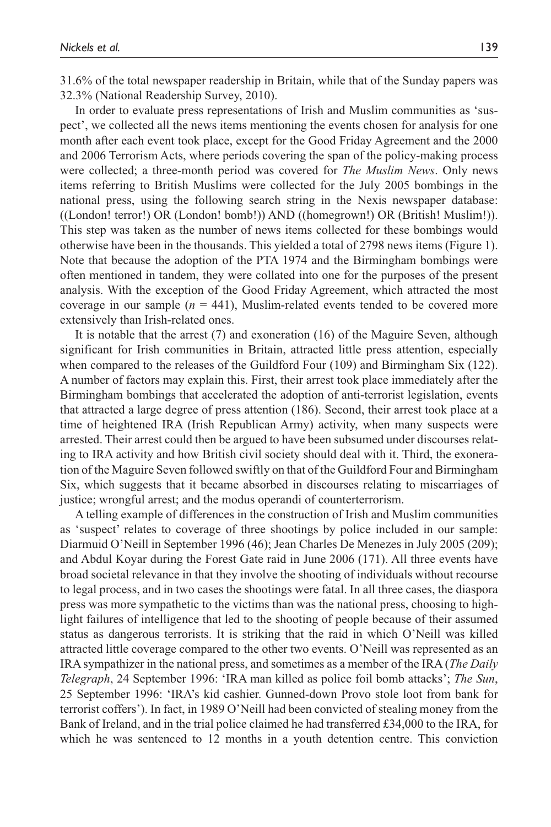31.6% of the total newspaper readership in Britain, while that of the Sunday papers was 32.3% (National Readership Survey, 2010).

In order to evaluate press representations of Irish and Muslim communities as 'suspect', we collected all the news items mentioning the events chosen for analysis for one month after each event took place, except for the Good Friday Agreement and the 2000 and 2006 Terrorism Acts, where periods covering the span of the policy-making process were collected; a three-month period was covered for *The Muslim News*. Only news items referring to British Muslims were collected for the July 2005 bombings in the national press, using the following search string in the Nexis newspaper database: ((London! terror!) OR (London! bomb!)) AND ((homegrown!) OR (British! Muslim!)). This step was taken as the number of news items collected for these bombings would otherwise have been in the thousands. This yielded a total of 2798 news items (Figure 1). Note that because the adoption of the PTA 1974 and the Birmingham bombings were often mentioned in tandem, they were collated into one for the purposes of the present analysis. With the exception of the Good Friday Agreement, which attracted the most coverage in our sample  $(n = 441)$ , Muslim-related events tended to be covered more extensively than Irish-related ones.

It is notable that the arrest (7) and exoneration (16) of the Maguire Seven, although significant for Irish communities in Britain, attracted little press attention, especially when compared to the releases of the Guildford Four (109) and Birmingham Six (122). A number of factors may explain this. First, their arrest took place immediately after the Birmingham bombings that accelerated the adoption of anti-terrorist legislation, events that attracted a large degree of press attention (186). Second, their arrest took place at a time of heightened IRA (Irish Republican Army) activity, when many suspects were arrested. Their arrest could then be argued to have been subsumed under discourses relating to IRA activity and how British civil society should deal with it. Third, the exoneration of the Maguire Seven followed swiftly on that of the Guildford Four and Birmingham Six, which suggests that it became absorbed in discourses relating to miscarriages of justice; wrongful arrest; and the modus operandi of counterterrorism.

A telling example of differences in the construction of Irish and Muslim communities as 'suspect' relates to coverage of three shootings by police included in our sample: Diarmuid O'Neill in September 1996 (46); Jean Charles De Menezes in July 2005 (209); and Abdul Koyar during the Forest Gate raid in June 2006 (171). All three events have broad societal relevance in that they involve the shooting of individuals without recourse to legal process, and in two cases the shootings were fatal. In all three cases, the diaspora press was more sympathetic to the victims than was the national press, choosing to highlight failures of intelligence that led to the shooting of people because of their assumed status as dangerous terrorists. It is striking that the raid in which O'Neill was killed attracted little coverage compared to the other two events. O'Neill was represented as an IRA sympathizer in the national press, and sometimes as a member of the IRA (*The Daily Telegraph*, 24 September 1996: 'IRA man killed as police foil bomb attacks'; *The Sun*, 25 September 1996: 'IRA's kid cashier. Gunned-down Provo stole loot from bank for terrorist coffers'). In fact, in 1989 O'Neill had been convicted of stealing money from the Bank of Ireland, and in the trial police claimed he had transferred £34,000 to the IRA, for which he was sentenced to 12 months in a youth detention centre. This conviction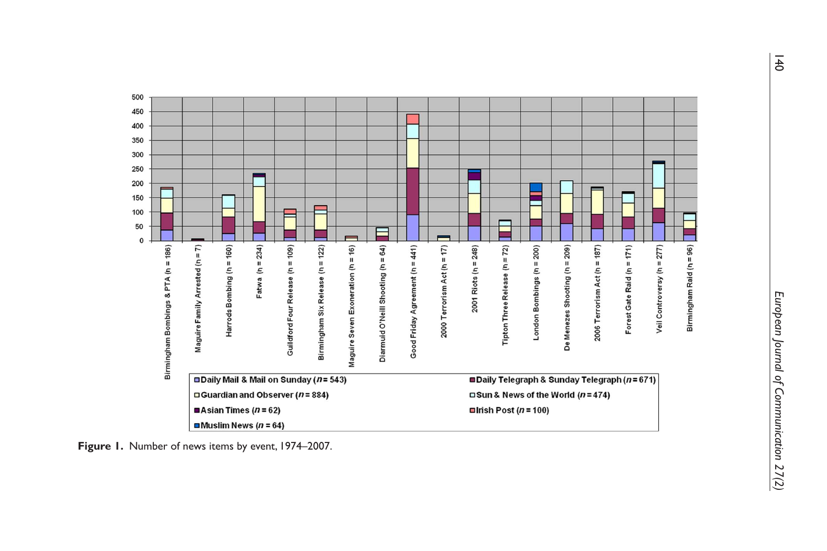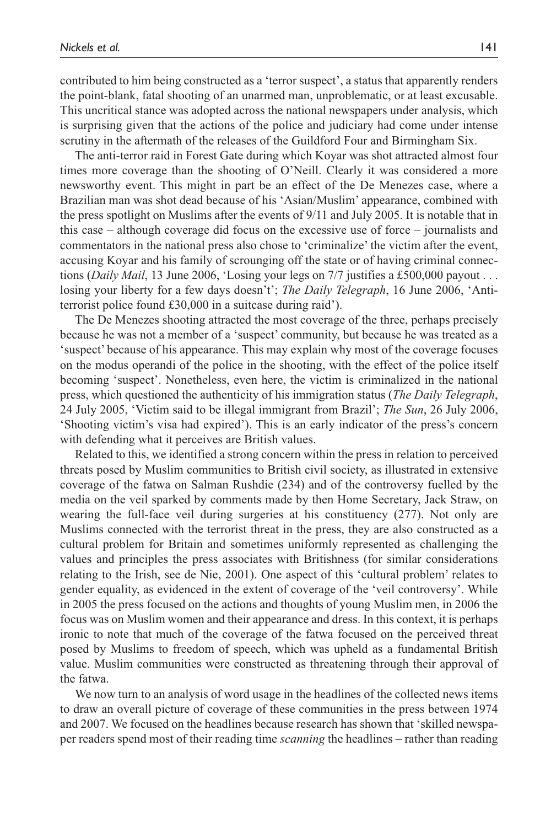contributed to him being constructed as a 'terror suspect', a status that apparently renders the point-blank, fatal shooting of an unarmed man, unproblematic, or at least excusable. This uncritical stance was adopted across the national newspapers under analysis, which is surprising given that the actions of the police and judiciary had come under intense scrutiny in the aftermath of the releases of the Guildford Four and Birmingham Six.

The anti-terror raid in Forest Gate during which Koyar was shot attracted almost four times more coverage than the shooting of O'Neill. Clearly it was considered a more newsworthy event. This might in part be an effect of the De Menezes case, where a Brazilian man was shot dead because of his 'Asian/Muslim' appearance, combined with the press spotlight on Muslims after the events of 9/11 and July 2005. It is notable that in this case – although coverage did focus on the excessive use of force – journalists and commentators in the national press also chose to 'criminalize' the victim after the event, accusing Koyar and his family of scrounging off the state or of having criminal connections (*Daily Mail*, 13 June 2006, 'Losing your legs on 7/7 justifies a £500,000 payout . . . losing your liberty for a few days doesn't'; *The Daily Telegraph*, 16 June 2006, 'Antiterrorist police found £30,000 in a suitcase during raid').

The De Menezes shooting attracted the most coverage of the three, perhaps precisely because he was not a member of a 'suspect' community, but because he was treated as a 'suspect' because of his appearance. This may explain why most of the coverage focuses on the modus operandi of the police in the shooting, with the effect of the police itself becoming 'suspect'. Nonetheless, even here, the victim is criminalized in the national press, which questioned the authenticity of his immigration status (*The Daily Telegraph*, 24 July 2005, 'Victim said to be illegal immigrant from Brazil'; *The Sun*, 26 July 2006, 'Shooting victim's visa had expired'). This is an early indicator of the press's concern with defending what it perceives are British values.

Related to this, we identified a strong concern within the press in relation to perceived threats posed by Muslim communities to British civil society, as illustrated in extensive coverage of the fatwa on Salman Rushdie (234) and of the controversy fuelled by the media on the veil sparked by comments made by then Home Secretary, Jack Straw, on wearing the full-face veil during surgeries at his constituency (277). Not only are Muslims connected with the terrorist threat in the press, they are also constructed as a cultural problem for Britain and sometimes uniformly represented as challenging the values and principles the press associates with Britishness (for similar considerations relating to the Irish, see de Nie, 2001). One aspect of this 'cultural problem' relates to gender equality, as evidenced in the extent of coverage of the 'veil controversy'. While in 2005 the press focused on the actions and thoughts of young Muslim men, in 2006 the focus was on Muslim women and their appearance and dress. In this context, it is perhaps ironic to note that much of the coverage of the fatwa focused on the perceived threat posed by Muslims to freedom of speech, which was upheld as a fundamental British value. Muslim communities were constructed as threatening through their approval of the fatwa.

We now turn to an analysis of word usage in the headlines of the collected news items to draw an overall picture of coverage of these communities in the press between 1974 and 2007. We focused on the headlines because research has shown that 'skilled newspaper readers spend most of their reading time *scanning* the headlines – rather than reading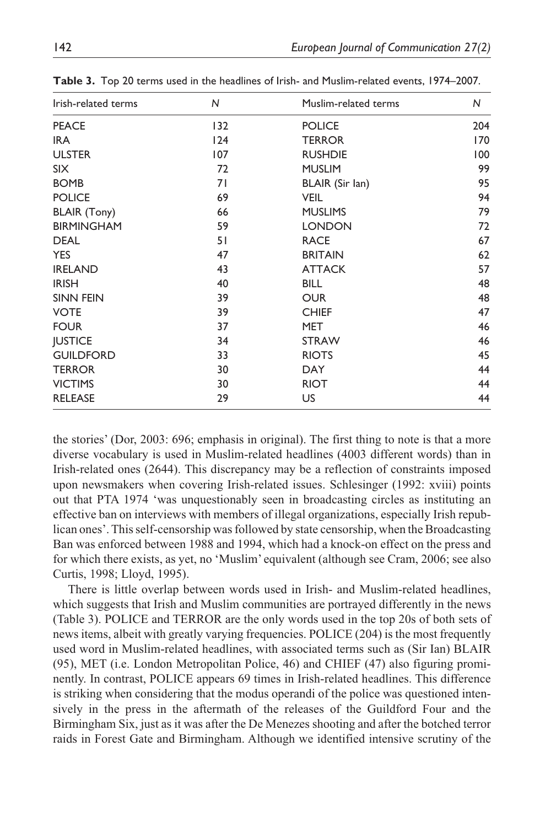| Irish-related terms | N   | Muslim-related terms | N   |
|---------------------|-----|----------------------|-----|
| <b>PEACE</b>        | 132 | <b>POLICE</b>        | 204 |
| <b>IRA</b>          | 124 | <b>TERROR</b>        | 170 |
| <b>ULSTER</b>       | 107 | <b>RUSHDIE</b>       | 100 |
| <b>SIX</b>          | 72  | <b>MUSLIM</b>        | 99  |
| <b>BOMB</b>         | 71  | BLAIR (Sir lan)      | 95  |
| <b>POLICE</b>       | 69  | <b>VEIL</b>          | 94  |
| <b>BLAIR (Tony)</b> | 66  | <b>MUSLIMS</b>       | 79  |
| <b>BIRMINGHAM</b>   | 59  | <b>LONDON</b>        | 72  |
| <b>DEAL</b>         | 51  | <b>RACE</b>          | 67  |
| <b>YES</b>          | 47  | <b>BRITAIN</b>       | 62  |
| <b>IRELAND</b>      | 43  | <b>ATTACK</b>        | 57  |
| <b>IRISH</b>        | 40  | <b>BILL</b>          | 48  |
| <b>SINN FEIN</b>    | 39  | <b>OUR</b>           | 48  |
| <b>VOTE</b>         | 39  | <b>CHIEF</b>         | 47  |
| <b>FOUR</b>         | 37  | <b>MET</b>           | 46  |
| <b>JUSTICE</b>      | 34  | <b>STRAW</b>         | 46  |
| <b>GUILDFORD</b>    | 33  | <b>RIOTS</b>         | 45  |
| <b>TERROR</b>       | 30  | <b>DAY</b>           | 44  |
| <b>VICTIMS</b>      | 30  | <b>RIOT</b>          | 44  |
| <b>RELEASE</b>      | 29  | US                   | 44  |

**Table 3.** Top 20 terms used in the headlines of Irish- and Muslim-related events, 1974–2007.

the stories' (Dor, 2003: 696; emphasis in original). The first thing to note is that a more diverse vocabulary is used in Muslim-related headlines (4003 different words) than in Irish-related ones (2644). This discrepancy may be a reflection of constraints imposed upon newsmakers when covering Irish-related issues. Schlesinger (1992: xviii) points out that PTA 1974 'was unquestionably seen in broadcasting circles as instituting an effective ban on interviews with members of illegal organizations, especially Irish republican ones'. This self-censorship was followed by state censorship, when the Broadcasting Ban was enforced between 1988 and 1994, which had a knock-on effect on the press and for which there exists, as yet, no 'Muslim' equivalent (although see Cram, 2006; see also Curtis, 1998; Lloyd, 1995).

There is little overlap between words used in Irish- and Muslim-related headlines, which suggests that Irish and Muslim communities are portrayed differently in the news (Table 3). POLICE and TERROR are the only words used in the top 20s of both sets of news items, albeit with greatly varying frequencies. POLICE (204) is the most frequently used word in Muslim-related headlines, with associated terms such as (Sir Ian) BLAIR (95), MET (i.e. London Metropolitan Police, 46) and CHIEF (47) also figuring prominently. In contrast, POLICE appears 69 times in Irish-related headlines. This difference is striking when considering that the modus operandi of the police was questioned intensively in the press in the aftermath of the releases of the Guildford Four and the Birmingham Six, just as it was after the De Menezes shooting and after the botched terror raids in Forest Gate and Birmingham. Although we identified intensive scrutiny of the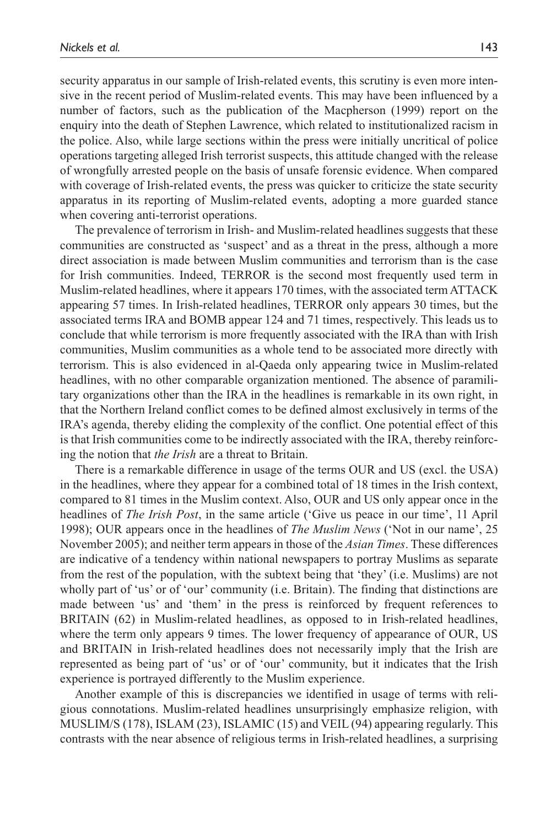security apparatus in our sample of Irish-related events, this scrutiny is even more intensive in the recent period of Muslim-related events. This may have been influenced by a number of factors, such as the publication of the Macpherson (1999) report on the enquiry into the death of Stephen Lawrence, which related to institutionalized racism in the police. Also, while large sections within the press were initially uncritical of police operations targeting alleged Irish terrorist suspects, this attitude changed with the release of wrongfully arrested people on the basis of unsafe forensic evidence. When compared with coverage of Irish-related events, the press was quicker to criticize the state security apparatus in its reporting of Muslim-related events, adopting a more guarded stance when covering anti-terrorist operations.

The prevalence of terrorism in Irish- and Muslim-related headlines suggests that these communities are constructed as 'suspect' and as a threat in the press, although a more direct association is made between Muslim communities and terrorism than is the case for Irish communities. Indeed, TERROR is the second most frequently used term in Muslim-related headlines, where it appears 170 times, with the associated term ATTACK appearing 57 times. In Irish-related headlines, TERROR only appears 30 times, but the associated terms IRA and BOMB appear 124 and 71 times, respectively. This leads us to conclude that while terrorism is more frequently associated with the IRA than with Irish communities, Muslim communities as a whole tend to be associated more directly with terrorism. This is also evidenced in al-Qaeda only appearing twice in Muslim-related headlines, with no other comparable organization mentioned. The absence of paramilitary organizations other than the IRA in the headlines is remarkable in its own right, in that the Northern Ireland conflict comes to be defined almost exclusively in terms of the IRA's agenda, thereby eliding the complexity of the conflict. One potential effect of this is that Irish communities come to be indirectly associated with the IRA, thereby reinforcing the notion that *the Irish* are a threat to Britain.

There is a remarkable difference in usage of the terms OUR and US (excl. the USA) in the headlines, where they appear for a combined total of 18 times in the Irish context, compared to 81 times in the Muslim context. Also, OUR and US only appear once in the headlines of *The Irish Post*, in the same article ('Give us peace in our time', 11 April 1998); OUR appears once in the headlines of *The Muslim News* ('Not in our name', 25 November 2005); and neither term appears in those of the *Asian Times*. These differences are indicative of a tendency within national newspapers to portray Muslims as separate from the rest of the population, with the subtext being that 'they' (i.e. Muslims) are not wholly part of 'us' or of 'our' community (i.e. Britain). The finding that distinctions are made between 'us' and 'them' in the press is reinforced by frequent references to BRITAIN (62) in Muslim-related headlines, as opposed to in Irish-related headlines, where the term only appears 9 times. The lower frequency of appearance of OUR, US and BRITAIN in Irish-related headlines does not necessarily imply that the Irish are represented as being part of 'us' or of 'our' community, but it indicates that the Irish experience is portrayed differently to the Muslim experience.

Another example of this is discrepancies we identified in usage of terms with religious connotations. Muslim-related headlines unsurprisingly emphasize religion, with MUSLIM/S (178), ISLAM (23), ISLAMIC (15) and VEIL (94) appearing regularly. This contrasts with the near absence of religious terms in Irish-related headlines, a surprising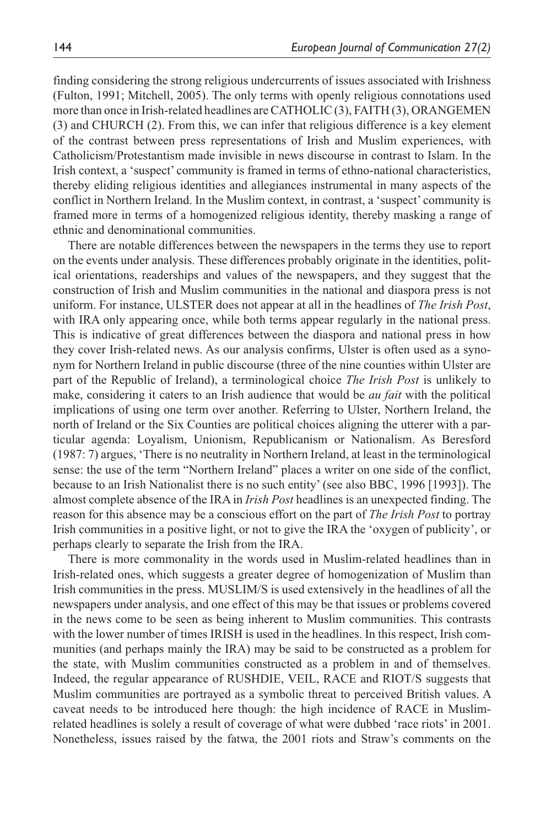finding considering the strong religious undercurrents of issues associated with Irishness (Fulton, 1991; Mitchell, 2005). The only terms with openly religious connotations used more than once in Irish-related headlines are CATHOLIC (3), FAITH (3), ORANGEMEN (3) and CHURCH (2). From this, we can infer that religious difference is a key element of the contrast between press representations of Irish and Muslim experiences, with Catholicism/Protestantism made invisible in news discourse in contrast to Islam. In the Irish context, a 'suspect' community is framed in terms of ethno-national characteristics, thereby eliding religious identities and allegiances instrumental in many aspects of the conflict in Northern Ireland. In the Muslim context, in contrast, a 'suspect' community is framed more in terms of a homogenized religious identity, thereby masking a range of ethnic and denominational communities.

There are notable differences between the newspapers in the terms they use to report on the events under analysis. These differences probably originate in the identities, political orientations, readerships and values of the newspapers, and they suggest that the construction of Irish and Muslim communities in the national and diaspora press is not uniform. For instance, ULSTER does not appear at all in the headlines of *The Irish Post*, with IRA only appearing once, while both terms appear regularly in the national press. This is indicative of great differences between the diaspora and national press in how they cover Irish-related news. As our analysis confirms, Ulster is often used as a synonym for Northern Ireland in public discourse (three of the nine counties within Ulster are part of the Republic of Ireland), a terminological choice *The Irish Post* is unlikely to make, considering it caters to an Irish audience that would be *au fait* with the political implications of using one term over another. Referring to Ulster, Northern Ireland, the north of Ireland or the Six Counties are political choices aligning the utterer with a particular agenda: Loyalism, Unionism, Republicanism or Nationalism. As Beresford (1987: 7) argues, 'There is no neutrality in Northern Ireland, at least in the terminological sense: the use of the term "Northern Ireland" places a writer on one side of the conflict, because to an Irish Nationalist there is no such entity' (see also BBC, 1996 [1993]). The almost complete absence of the IRA in *Irish Post* headlines is an unexpected finding. The reason for this absence may be a conscious effort on the part of *The Irish Post* to portray Irish communities in a positive light, or not to give the IRA the 'oxygen of publicity', or perhaps clearly to separate the Irish from the IRA.

There is more commonality in the words used in Muslim-related headlines than in Irish-related ones, which suggests a greater degree of homogenization of Muslim than Irish communities in the press. MUSLIM/S is used extensively in the headlines of all the newspapers under analysis, and one effect of this may be that issues or problems covered in the news come to be seen as being inherent to Muslim communities. This contrasts with the lower number of times IRISH is used in the headlines. In this respect, Irish communities (and perhaps mainly the IRA) may be said to be constructed as a problem for the state, with Muslim communities constructed as a problem in and of themselves. Indeed, the regular appearance of RUSHDIE, VEIL, RACE and RIOT/S suggests that Muslim communities are portrayed as a symbolic threat to perceived British values. A caveat needs to be introduced here though: the high incidence of RACE in Muslimrelated headlines is solely a result of coverage of what were dubbed 'race riots' in 2001. Nonetheless, issues raised by the fatwa, the 2001 riots and Straw's comments on the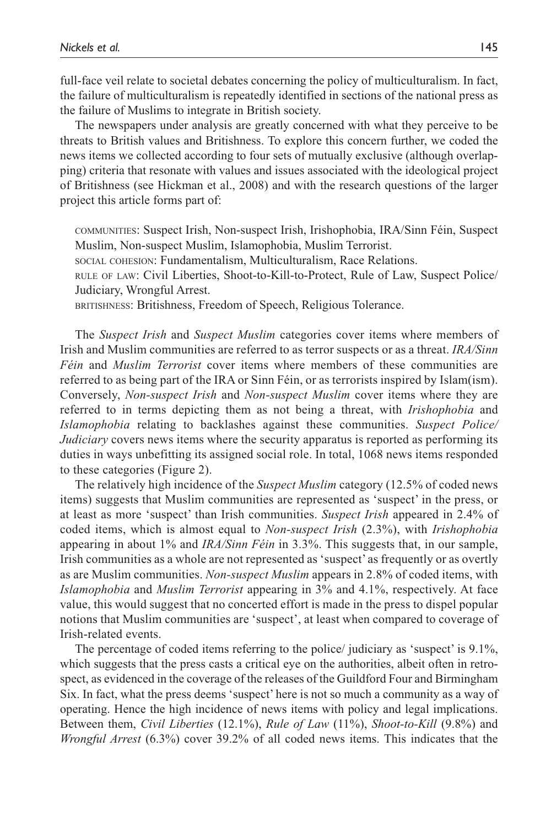full-face veil relate to societal debates concerning the policy of multiculturalism. In fact, the failure of multiculturalism is repeatedly identified in sections of the national press as the failure of Muslims to integrate in British society.

The newspapers under analysis are greatly concerned with what they perceive to be threats to British values and Britishness. To explore this concern further, we coded the news items we collected according to four sets of mutually exclusive (although overlapping) criteria that resonate with values and issues associated with the ideological project of Britishness (see Hickman et al., 2008) and with the research questions of the larger project this article forms part of:

COMMUNITIES: Suspect Irish, Non-suspect Irish, Irishophobia, IRA/Sinn Féin, Suspect Muslim, Non-suspect Muslim, Islamophobia, Muslim Terrorist.

SOCIAL COHESION: Fundamentalism, Multiculturalism, Race Relations.

RULE OF LAW: Civil Liberties, Shoot-to-Kill-to-Protect, Rule of Law, Suspect Police/ Judiciary, Wrongful Arrest.

BRITISHNESS: Britishness, Freedom of Speech, Religious Tolerance.

The *Suspect Irish* and *Suspect Muslim* categories cover items where members of Irish and Muslim communities are referred to as terror suspects or as a threat. *IRA/Sinn Féin* and *Muslim Terrorist* cover items where members of these communities are referred to as being part of the IRA or Sinn Féin, or as terrorists inspired by Islam(ism). Conversely, *Non-suspect Irish* and *Non-suspect Muslim* cover items where they are referred to in terms depicting them as not being a threat, with *Irishophobia* and *Islamophobia* relating to backlashes against these communities. *Suspect Police/ Judiciary* covers news items where the security apparatus is reported as performing its duties in ways unbefitting its assigned social role. In total, 1068 news items responded to these categories (Figure 2).

The relatively high incidence of the *Suspect Muslim* category (12.5% of coded news items) suggests that Muslim communities are represented as 'suspect' in the press, or at least as more 'suspect' than Irish communities. *Suspect Irish* appeared in 2.4% of coded items, which is almost equal to *Non-suspect Irish* (2.3%), with *Irishophobia* appearing in about 1% and *IRA/Sinn Féin* in 3.3%. This suggests that, in our sample, Irish communities as a whole are not represented as 'suspect' as frequently or as overtly as are Muslim communities. *Non-suspect Muslim* appears in 2.8% of coded items, with *Islamophobia* and *Muslim Terrorist* appearing in 3% and 4.1%, respectively. At face value, this would suggest that no concerted effort is made in the press to dispel popular notions that Muslim communities are 'suspect', at least when compared to coverage of Irish-related events.

The percentage of coded items referring to the police/ judiciary as 'suspect' is 9.1%, which suggests that the press casts a critical eye on the authorities, albeit often in retrospect, as evidenced in the coverage of the releases of the Guildford Four and Birmingham Six. In fact, what the press deems 'suspect' here is not so much a community as a way of operating. Hence the high incidence of news items with policy and legal implications. Between them, *Civil Liberties* (12.1%), *Rule of Law* (11%), *Shoot-to-Kill* (9.8%) and *Wrongful Arrest* (6.3%) cover 39.2% of all coded news items. This indicates that the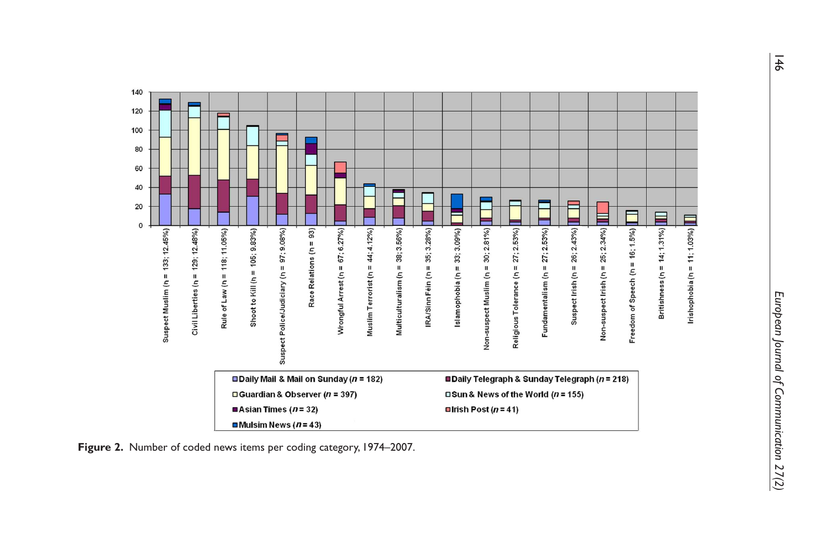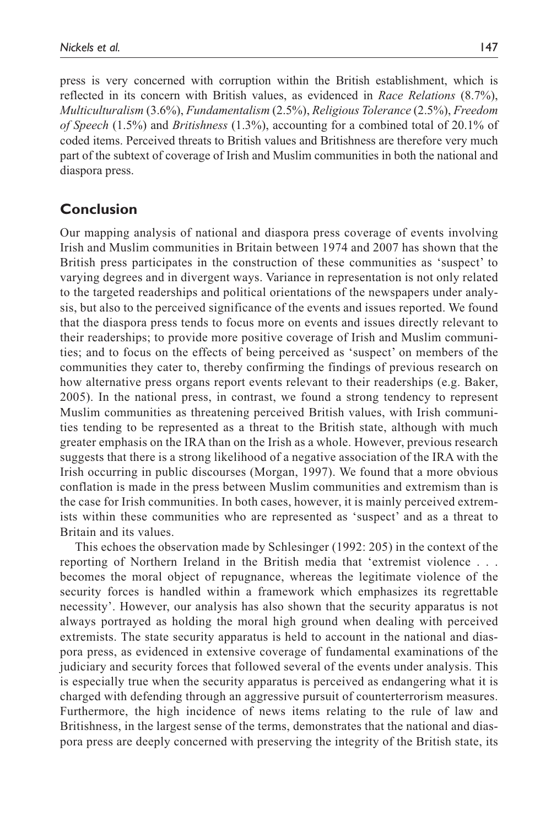press is very concerned with corruption within the British establishment, which is reflected in its concern with British values, as evidenced in *Race Relations* (8.7%), *Multiculturalism* (3.6%), *Fundamentalism* (2.5%), *Religious Tolerance* (2.5%), *Freedom of Speech* (1.5%) and *Britishness* (1.3%), accounting for a combined total of 20.1% of coded items. Perceived threats to British values and Britishness are therefore very much part of the subtext of coverage of Irish and Muslim communities in both the national and diaspora press.

# **Conclusion**

Our mapping analysis of national and diaspora press coverage of events involving Irish and Muslim communities in Britain between 1974 and 2007 has shown that the British press participates in the construction of these communities as 'suspect' to varying degrees and in divergent ways. Variance in representation is not only related to the targeted readerships and political orientations of the newspapers under analysis, but also to the perceived significance of the events and issues reported. We found that the diaspora press tends to focus more on events and issues directly relevant to their readerships; to provide more positive coverage of Irish and Muslim communities; and to focus on the effects of being perceived as 'suspect' on members of the communities they cater to, thereby confirming the findings of previous research on how alternative press organs report events relevant to their readerships (e.g. Baker, 2005). In the national press, in contrast, we found a strong tendency to represent Muslim communities as threatening perceived British values, with Irish communities tending to be represented as a threat to the British state, although with much greater emphasis on the IRA than on the Irish as a whole. However, previous research suggests that there is a strong likelihood of a negative association of the IRA with the Irish occurring in public discourses (Morgan, 1997). We found that a more obvious conflation is made in the press between Muslim communities and extremism than is the case for Irish communities. In both cases, however, it is mainly perceived extremists within these communities who are represented as 'suspect' and as a threat to Britain and its values.

This echoes the observation made by Schlesinger (1992: 205) in the context of the reporting of Northern Ireland in the British media that 'extremist violence . . . becomes the moral object of repugnance, whereas the legitimate violence of the security forces is handled within a framework which emphasizes its regrettable necessity'. However, our analysis has also shown that the security apparatus is not always portrayed as holding the moral high ground when dealing with perceived extremists. The state security apparatus is held to account in the national and diaspora press, as evidenced in extensive coverage of fundamental examinations of the judiciary and security forces that followed several of the events under analysis. This is especially true when the security apparatus is perceived as endangering what it is charged with defending through an aggressive pursuit of counterterrorism measures. Furthermore, the high incidence of news items relating to the rule of law and Britishness, in the largest sense of the terms, demonstrates that the national and diaspora press are deeply concerned with preserving the integrity of the British state, its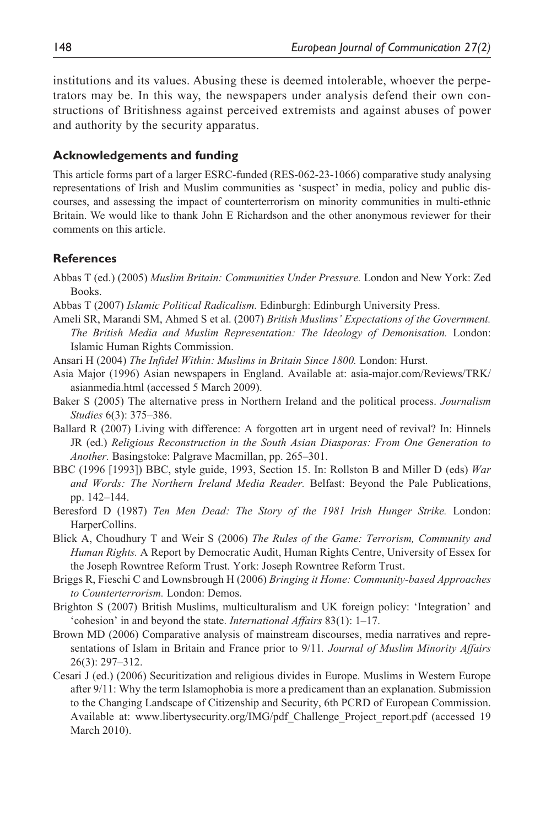institutions and its values. Abusing these is deemed intolerable, whoever the perpetrators may be. In this way, the newspapers under analysis defend their own constructions of Britishness against perceived extremists and against abuses of power and authority by the security apparatus.

#### **Acknowledgements and funding**

This article forms part of a larger ESRC-funded (RES-062-23-1066) comparative study analysing representations of Irish and Muslim communities as 'suspect' in media, policy and public discourses, and assessing the impact of counterterrorism on minority communities in multi-ethnic Britain. We would like to thank John E Richardson and the other anonymous reviewer for their comments on this article.

#### **References**

- Abbas T (ed.) (2005) *Muslim Britain: Communities Under Pressure.* London and New York: Zed Books.
- Abbas T (2007) *Islamic Political Radicalism.* Edinburgh: Edinburgh University Press.
- Ameli SR, Marandi SM, Ahmed S et al. (2007) *British Muslims' Expectations of the Government. The British Media and Muslim Representation: The Ideology of Demonisation.* London: Islamic Human Rights Commission.
- Ansari H (2004) *The Infidel Within: Muslims in Britain Since 1800.* London: Hurst.
- Asia Major (1996) Asian newspapers in England. Available at: asia-major.com/Reviews/TRK/ asianmedia.html (accessed 5 March 2009).
- Baker S (2005) The alternative press in Northern Ireland and the political process. *Journalism Studies* 6(3): 375–386.
- Ballard R (2007) Living with difference: A forgotten art in urgent need of revival? In: Hinnels JR (ed.) *Religious Reconstruction in the South Asian Diasporas: From One Generation to Another.* Basingstoke: Palgrave Macmillan, pp. 265–301.
- BBC (1996 [1993]) BBC, style guide, 1993, Section 15. In: Rollston B and Miller D (eds) *War and Words: The Northern Ireland Media Reader.* Belfast: Beyond the Pale Publications, pp. 142–144.
- Beresford D (1987) *Ten Men Dead: The Story of the 1981 Irish Hunger Strike.* London: HarperCollins.
- Blick A, Choudhury T and Weir S (2006) *The Rules of the Game: Terrorism, Community and Human Rights.* A Report by Democratic Audit, Human Rights Centre, University of Essex for the Joseph Rowntree Reform Trust. York: Joseph Rowntree Reform Trust.
- Briggs R, Fieschi C and Lownsbrough H (2006) *Bringing it Home: Community-based Approaches to Counterterrorism.* London: Demos.
- Brighton S (2007) British Muslims, multiculturalism and UK foreign policy: 'Integration' and 'cohesion' in and beyond the state. *International Affairs* 83(1): 1–17.
- Brown MD (2006) Comparative analysis of mainstream discourses, media narratives and representations of Islam in Britain and France prior to 9/11*. Journal of Muslim Minority Affairs* 26(3): 297–312.
- Cesari J (ed.) (2006) Securitization and religious divides in Europe. Muslims in Western Europe after 9/11: Why the term Islamophobia is more a predicament than an explanation. Submission to the Changing Landscape of Citizenship and Security, 6th PCRD of European Commission. Available at: www.libertysecurity.org/IMG/pdf\_Challenge\_Project\_report.pdf (accessed 19 March 2010).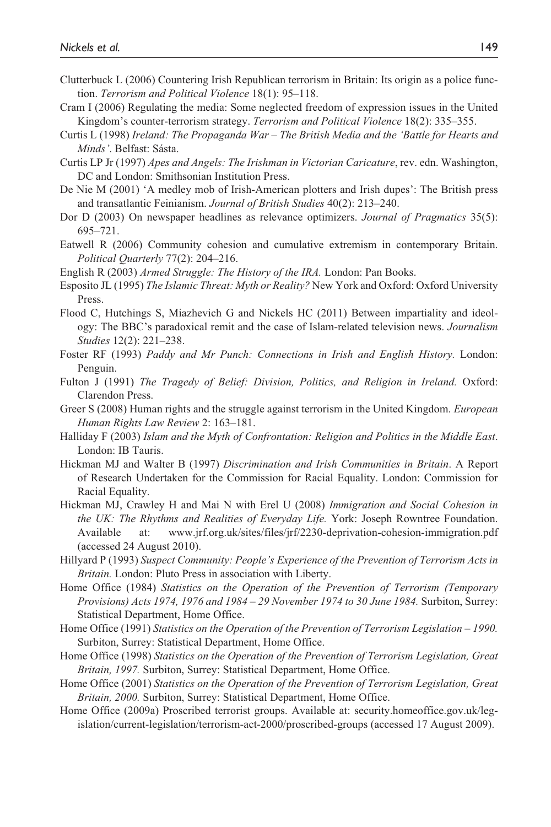- Clutterbuck L (2006) Countering Irish Republican terrorism in Britain: Its origin as a police function. *Terrorism and Political Violence* 18(1): 95–118.
- Cram I (2006) Regulating the media: Some neglected freedom of expression issues in the United Kingdom's counter-terrorism strategy. *Terrorism and Political Violence* 18(2): 335–355.
- Curtis L (1998) *Ireland: The Propaganda War The British Media and the 'Battle for Hearts and Minds'*. Belfast: Sásta.
- Curtis LP Jr (1997) *Apes and Angels: The Irishman in Victorian Caricature*, rev. edn. Washington, DC and London: Smithsonian Institution Press.
- De Nie M (2001) 'A medley mob of Irish-American plotters and Irish dupes': The British press and transatlantic Feinianism. *Journal of British Studies* 40(2): 213–240.
- Dor D (2003) On newspaper headlines as relevance optimizers. *Journal of Pragmatics* 35(5): 695–721.
- Eatwell R (2006) Community cohesion and cumulative extremism in contemporary Britain. *Political Quarterly* 77(2): 204–216.
- English R (2003) *Armed Struggle: The History of the IRA.* London: Pan Books.
- Esposito JL (1995) *The Islamic Threat: Myth or Reality?* New York and Oxford: Oxford University Press.
- Flood C, Hutchings S, Miazhevich G and Nickels HC (2011) Between impartiality and ideology: The BBC's paradoxical remit and the case of Islam-related television news. *Journalism Studies* 12(2): 221–238.
- Foster RF (1993) *Paddy and Mr Punch: Connections in Irish and English History.* London: Penguin.
- Fulton J (1991) *The Tragedy of Belief: Division, Politics, and Religion in Ireland.* Oxford: Clarendon Press.
- Greer S (2008) Human rights and the struggle against terrorism in the United Kingdom. *European Human Rights Law Review* 2: 163–181.
- Halliday F (2003) *Islam and the Myth of Confrontation: Religion and Politics in the Middle East*. London: IB Tauris.
- Hickman MJ and Walter B (1997) *Discrimination and Irish Communities in Britain*. A Report of Research Undertaken for the Commission for Racial Equality. London: Commission for Racial Equality.
- Hickman MJ, Crawley H and Mai N with Erel U (2008) *Immigration and Social Cohesion in the UK: The Rhythms and Realities of Everyday Life.* York: Joseph Rowntree Foundation. Available at: www.jrf.org.uk/sites/files/jrf/2230-deprivation-cohesion-immigration.pdf (accessed 24 August 2010).
- Hillyard P (1993) *Suspect Community: People's Experience of the Prevention of Terrorism Acts in Britain.* London: Pluto Press in association with Liberty.
- Home Office (1984) *Statistics on the Operation of the Prevention of Terrorism (Temporary Provisions) Acts 1974, 1976 and 1984 – 29 November 1974 to 30 June 1984.* Surbiton, Surrey: Statistical Department, Home Office.
- Home Office (1991) *Statistics on the Operation of the Prevention of Terrorism Legislation 1990.* Surbiton, Surrey: Statistical Department, Home Office.
- Home Office (1998) *Statistics on the Operation of the Prevention of Terrorism Legislation, Great Britain, 1997.* Surbiton, Surrey: Statistical Department, Home Office.
- Home Office (2001) *Statistics on the Operation of the Prevention of Terrorism Legislation, Great Britain, 2000.* Surbiton, Surrey: Statistical Department, Home Office.
- Home Office (2009a) Proscribed terrorist groups. Available at: security.homeoffice.gov.uk/legislation/current-legislation/terrorism-act-2000/proscribed-groups (accessed 17 August 2009).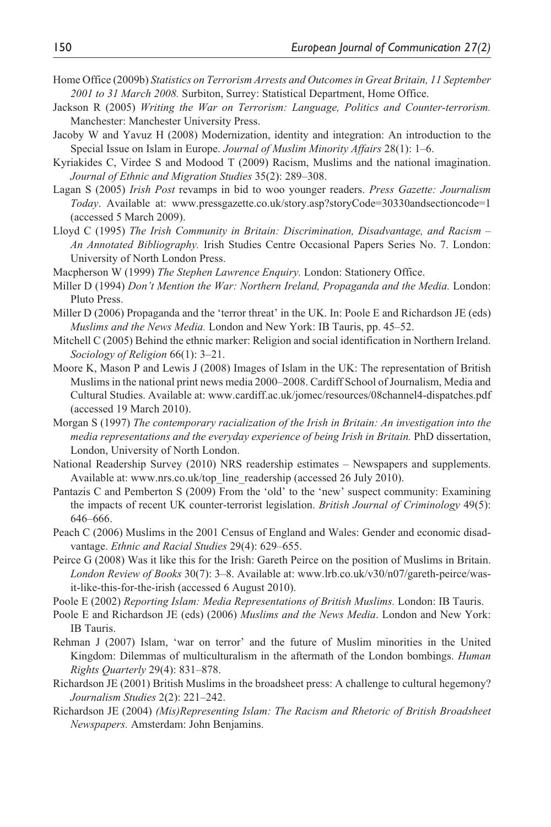- Home Office (2009b) *Statistics on Terrorism Arrests and Outcomes in Great Britain, 11 September 2001 to 31 March 2008.* Surbiton, Surrey: Statistical Department, Home Office.
- Jackson R (2005) *Writing the War on Terrorism: Language, Politics and Counter-terrorism.* Manchester: Manchester University Press.
- Jacoby W and Yavuz H (2008) Modernization, identity and integration: An introduction to the Special Issue on Islam in Europe. *Journal of Muslim Minority Affairs* 28(1): 1–6.
- Kyriakides C, Virdee S and Modood T (2009) Racism, Muslims and the national imagination. *Journal of Ethnic and Migration Studies* 35(2): 289–308.
- Lagan S (2005) *Irish Post* revamps in bid to woo younger readers. *Press Gazette: Journalism Today*. Available at: www.pressgazette.co.uk/story.asp?storyCode=30330andsectioncode=1 (accessed 5 March 2009).
- Lloyd C (1995) *The Irish Community in Britain: Discrimination, Disadvantage, and Racism An Annotated Bibliography.* Irish Studies Centre Occasional Papers Series No. 7. London: University of North London Press.
- Macpherson W (1999) *The Stephen Lawrence Enquiry.* London: Stationery Office.
- Miller D (1994) *Don't Mention the War: Northern Ireland, Propaganda and the Media.* London: Pluto Press.
- Miller D (2006) Propaganda and the 'terror threat' in the UK. In: Poole E and Richardson JE (eds) *Muslims and the News Media.* London and New York: IB Tauris, pp. 45–52.
- Mitchell C (2005) Behind the ethnic marker: Religion and social identification in Northern Ireland. *Sociology of Religion* 66(1): 3–21.
- Moore K, Mason P and Lewis J (2008) Images of Islam in the UK: The representation of British Muslims in the national print news media 2000–2008. Cardiff School of Journalism, Media and Cultural Studies. Available at: www.cardiff.ac.uk/jomec/resources/08channel4-dispatches.pdf (accessed 19 March 2010).
- Morgan S (1997) *The contemporary racialization of the Irish in Britain: An investigation into the media representations and the everyday experience of being Irish in Britain.* PhD dissertation, London, University of North London.
- National Readership Survey (2010) NRS readership estimates Newspapers and supplements. Available at: www.nrs.co.uk/top\_line\_readership (accessed 26 July 2010).
- Pantazis C and Pemberton S (2009) From the 'old' to the 'new' suspect community: Examining the impacts of recent UK counter-terrorist legislation. *British Journal of Criminology* 49(5): 646–666.
- Peach C (2006) Muslims in the 2001 Census of England and Wales: Gender and economic disadvantage. *Ethnic and Racial Studies* 29(4): 629–655.
- Peirce G (2008) Was it like this for the Irish: Gareth Peirce on the position of Muslims in Britain. *London Review of Books* 30(7): 3–8. Available at: www.lrb.co.uk/v30/n07/gareth-peirce/wasit-like-this-for-the-irish (accessed 6 August 2010).
- Poole E (2002) *Reporting Islam: Media Representations of British Muslims.* London: IB Tauris.
- Poole E and Richardson JE (eds) (2006) *Muslims and the News Media*. London and New York: IB Tauris.
- Rehman J (2007) Islam, 'war on terror' and the future of Muslim minorities in the United Kingdom: Dilemmas of multiculturalism in the aftermath of the London bombings. *Human Rights Quarterly* 29(4): 831–878.
- Richardson JE (2001) British Muslims in the broadsheet press: A challenge to cultural hegemony? *Journalism Studies* 2(2): 221–242.
- Richardson JE (2004) *(Mis)Representing Islam: The Racism and Rhetoric of British Broadsheet Newspapers.* Amsterdam: John Benjamins.